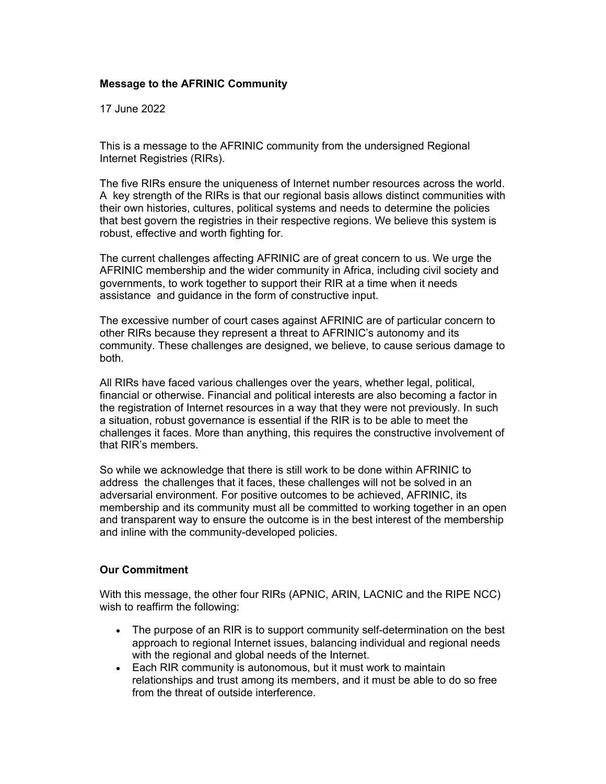## **Message to the AFRINIC Community**

17 June 2022

This is a message to the AFRINIC community from the undersigned Regional Internet Registries (RIRs).

The five RIRs ensure the uniqueness of Internet number resources across the world. A key strength of the RIRs is that our regional basis allows distinct communities with their own histories, cultures, political systems and needs to determine the policies that best govern the registries in their respective regions. We believe this system is robust, effective and worth fighting for.

The current challenges affecting AFRINIC are of great concern to us. We urge the AFRINIC membership and the wider community in Africa, including civil society and governments, to work together to support their RIR at a time when it needs assistance and guidance in the form of constructive input.

The excessive number of court cases against AFRINIC are of particular concern to other RIRs because they represent a threat to AFRINIC's autonomy and its community. These challenges are designed, we believe, to cause serious damage to both.

All RIRs have faced various challenges over the years, whether legal, political, financial or otherwise. Financial and political interests are also becoming a factor in the registration of Internet resources in a way that they were not previously. In such a situation, robust governance is essential if the RIR is to be able to meet the challenges it faces. More than anything, this requires the constructive involvement of that RIR's members.

So while we acknowledge that there is still work to be done within AFRINIC to address the challenges that it faces, these challenges will not be solved in an adversarial environment. For positive outcomes to be achieved, AFRINIC, its membership and its community must all be committed to working together in an open and transparent way to ensure the outcome is in the best interest of the membership and inline with the community-developed policies.

## **Our Commitment**

With this message, the other four RIRs (APNIC, ARIN, LACNIC and the RIPE NCC) wish to reaffirm the following:

- The purpose of an RIR is to support community self-determination on the best approach to regional Internet issues, balancing individual and regional needs with the regional and global needs of the Internet.
- Each RIR community is autonomous, but it must work to maintain relationships and trust among its members, and it must be able to do so free from the threat of outside interference.